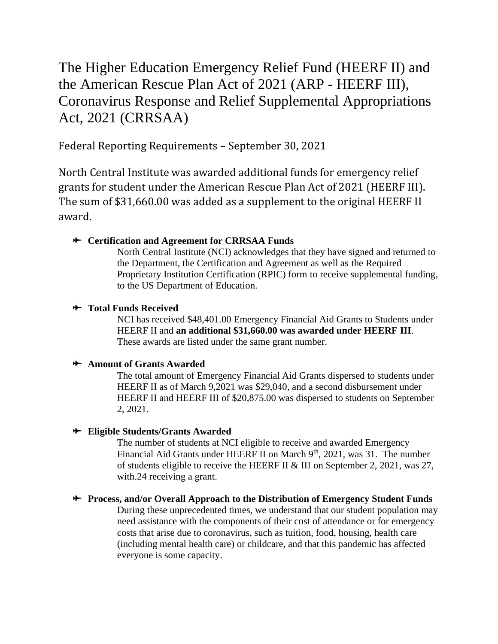# The Higher Education Emergency Relief Fund (HEERF II) and the American Rescue Plan Act of 2021 (ARP - HEERF III), Coronavirus Response and Relief Supplemental Appropriations Act, 2021 (CRRSAA)

Federal Reporting Requirements – September 30, 2021

North Central Institute was awarded additional funds for emergency relief grants for student under the American Rescue Plan Act of 2021 (HEERF III). The sum of \$31,660.00 was added as a supplement to the original HEERF II award.

## **Certification and Agreement for CRRSAA Funds**

North Central Institute (NCI) acknowledges that they have signed and returned to the Department, the Certification and Agreement as well as the Required Proprietary Institution Certification (RPIC) form to receive supplemental funding, to the US Department of Education.

### $\star$  Total Funds Received

NCI has received \$48,401.00 Emergency Financial Aid Grants to Students under HEERF II and **an additional \$31,660.00 was awarded under HEERF III**. These awards are listed under the same grant number.

## **Amount of Grants Awarded**

The total amount of Emergency Financial Aid Grants dispersed to students under HEERF II as of March 9,2021 was \$29,040, and a second disbursement under HEERF II and HEERF III of \$20,875.00 was dispersed to students on September 2, 2021.

## **Eligible Students/Grants Awarded**

The number of students at NCI eligible to receive and awarded Emergency Financial Aid Grants under HEERF II on March  $9<sup>th</sup>$ , 2021, was 31. The number of students eligible to receive the HEERF II & III on September 2, 2021, was 27, with.24 receiving a grant.

## **Process, and/or Overall Approach to the Distribution of Emergency Student Funds**

During these unprecedented times, we understand that our student population may need assistance with the components of their cost of attendance or for emergency costs that arise due to coronavirus, such as tuition, food, housing, health care (including mental health care) or childcare, and that this pandemic has affected everyone is some capacity.